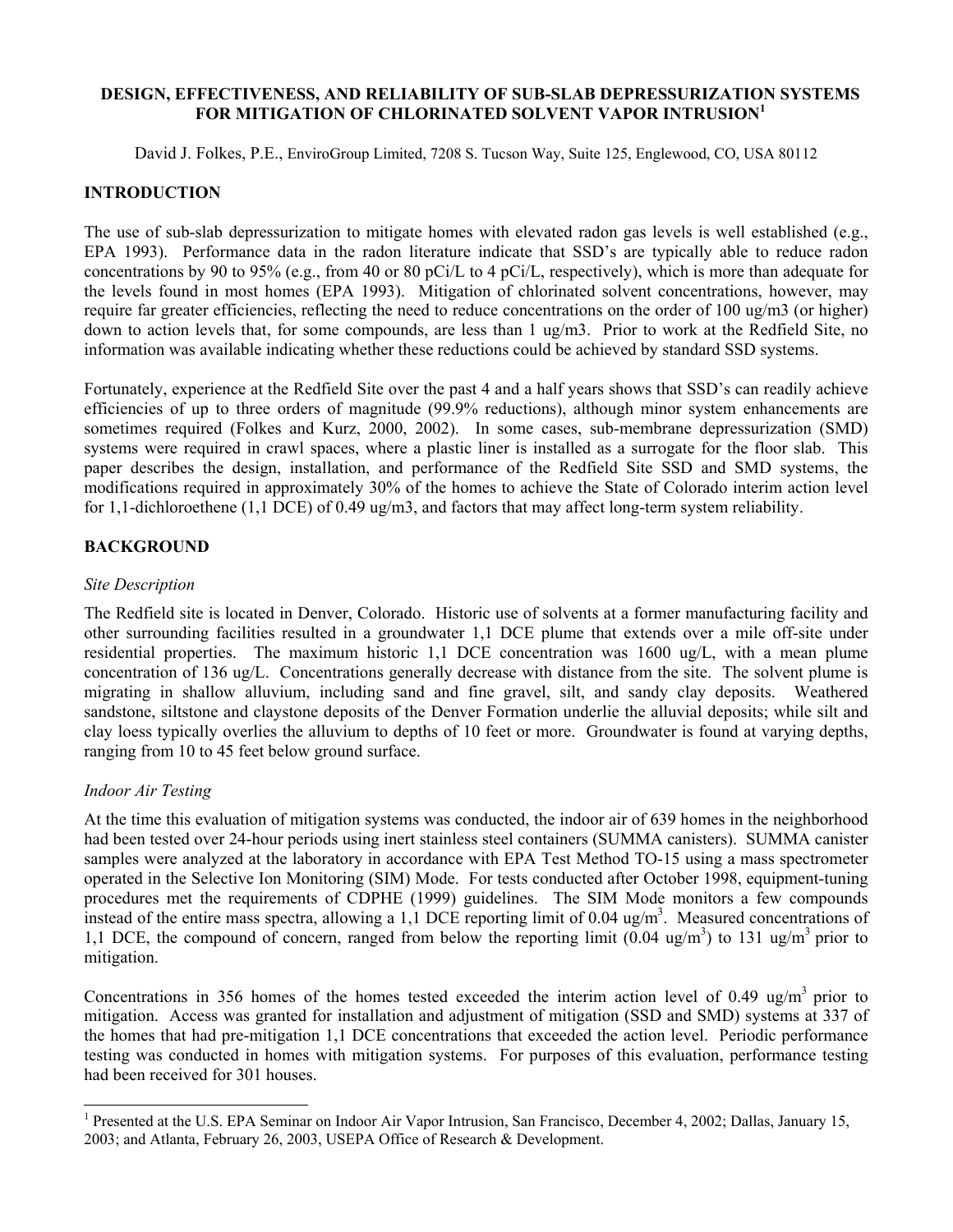#### **DESIGN, EFFECTIVENESS, AND RELIABILITY OF SUB-SLAB DEPRESSURIZATION SYSTEMS FOR MITIGATION OF CHLORINATED SOLVENT VAPOR INTRUSION[1](#page-0-0)**

David J. Folkes, P.E., EnviroGroup Limited, 7208 S. Tucson Way, Suite 125, Englewood, CO, USA 80112

## **INTRODUCTION**

The use of sub-slab depressurization to mitigate homes with elevated radon gas levels is well established (e.g., EPA 1993). Performance data in the radon literature indicate that SSD's are typically able to reduce radon concentrations by 90 to 95% (e.g., from 40 or 80 pCi/L to 4 pCi/L, respectively), which is more than adequate for the levels found in most homes (EPA 1993). Mitigation of chlorinated solvent concentrations, however, may require far greater efficiencies, reflecting the need to reduce concentrations on the order of 100 ug/m3 (or higher) down to action levels that, for some compounds, are less than 1 ug/m3. Prior to work at the Redfield Site, no information was available indicating whether these reductions could be achieved by standard SSD systems.

Fortunately, experience at the Redfield Site over the past 4 and a half years shows that SSD's can readily achieve efficiencies of up to three orders of magnitude (99.9% reductions), although minor system enhancements are sometimes required (Folkes and Kurz, 2000, 2002). In some cases, sub-membrane depressurization (SMD) systems were required in crawl spaces, where a plastic liner is installed as a surrogate for the floor slab. This paper describes the design, installation, and performance of the Redfield Site SSD and SMD systems, the modifications required in approximately 30% of the homes to achieve the State of Colorado interim action level for 1,1-dichloroethene (1,1 DCE) of 0.49 ug/m3, and factors that may affect long-term system reliability.

### **BACKGROUND**

#### *Site Description*

The Redfield site is located in Denver, Colorado. Historic use of solvents at a former manufacturing facility and other surrounding facilities resulted in a groundwater 1,1 DCE plume that extends over a mile off-site under residential properties. The maximum historic 1,1 DCE concentration was 1600 ug/L, with a mean plume concentration of 136 ug/L. Concentrations generally decrease with distance from the site. The solvent plume is migrating in shallow alluvium, including sand and fine gravel, silt, and sandy clay deposits. Weathered sandstone, siltstone and claystone deposits of the Denver Formation underlie the alluvial deposits; while silt and clay loess typically overlies the alluvium to depths of 10 feet or more. Groundwater is found at varying depths, ranging from 10 to 45 feet below ground surface.

### *Indoor Air Testing*

 $\overline{a}$ 

At the time this evaluation of mitigation systems was conducted, the indoor air of 639 homes in the neighborhood had been tested over 24-hour periods using inert stainless steel containers (SUMMA canisters). SUMMA canister samples were analyzed at the laboratory in accordance with EPA Test Method TO-15 using a mass spectrometer operated in the Selective Ion Monitoring (SIM) Mode. For tests conducted after October 1998, equipment-tuning procedures met the requirements of CDPHE (1999) guidelines. The SIM Mode monitors a few compounds instead of the entire mass spectra, allowing a 1,1 DCE reporting limit of 0.04 ug/m<sup>3</sup>. Measured concentrations of 1,1 DCE, the compound of concern, ranged from below the reporting limit  $(0.04 \text{ ug/m}^3)$  to 131 ug/m<sup>3</sup> prior to mitigation.

Concentrations in 356 homes of the homes tested exceeded the interim action level of 0.49 ug/m<sup>3</sup> prior to mitigation. Access was granted for installation and adjustment of mitigation (SSD and SMD) systems at 337 of the homes that had pre-mitigation 1,1 DCE concentrations that exceeded the action level. Periodic performance testing was conducted in homes with mitigation systems. For purposes of this evaluation, performance testing had been received for 301 houses.

<span id="page-0-0"></span><sup>&</sup>lt;sup>1</sup> Presented at the U.S. EPA Seminar on Indoor Air Vapor Intrusion, San Francisco, December 4, 2002; Dallas, January 15, 2003; and Atlanta, February 26, 2003, USEPA Office of Research & Development.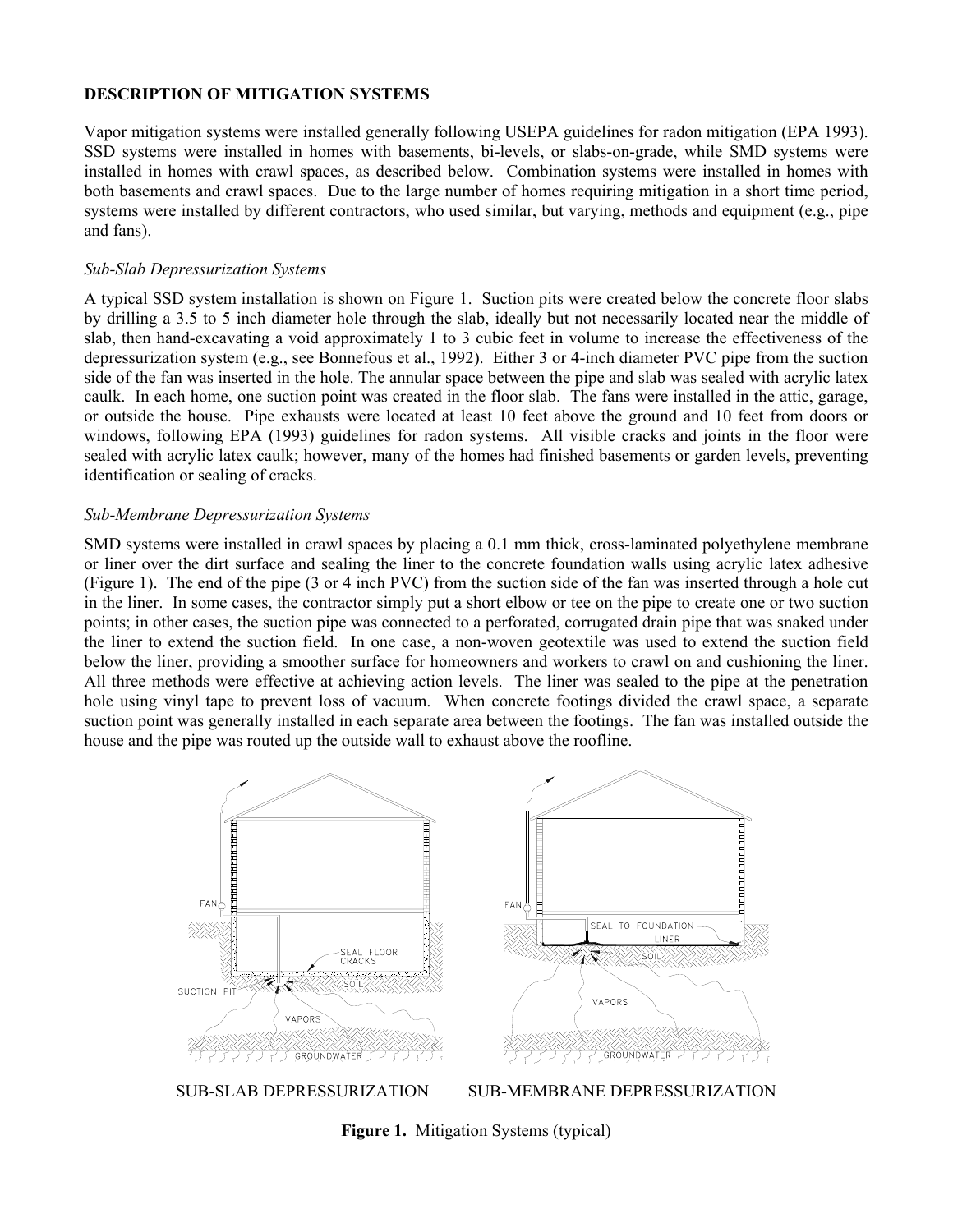## **DESCRIPTION OF MITIGATION SYSTEMS**

Vapor mitigation systems were installed generally following USEPA guidelines for radon mitigation (EPA 1993). SSD systems were installed in homes with basements, bi-levels, or slabs-on-grade, while SMD systems were installed in homes with crawl spaces, as described below. Combination systems were installed in homes with both basements and crawl spaces. Due to the large number of homes requiring mitigation in a short time period, systems were installed by different contractors, who used similar, but varying, methods and equipment (e.g., pipe and fans).

### *Sub-Slab Depressurization Systems*

A typical SSD system installation is shown on Figure 1. Suction pits were created below the concrete floor slabs by drilling a 3.5 to 5 inch diameter hole through the slab, ideally but not necessarily located near the middle of slab, then hand-excavating a void approximately 1 to 3 cubic feet in volume to increase the effectiveness of the depressurization system (e.g., see Bonnefous et al., 1992). Either 3 or 4-inch diameter PVC pipe from the suction side of the fan was inserted in the hole. The annular space between the pipe and slab was sealed with acrylic latex caulk. In each home, one suction point was created in the floor slab. The fans were installed in the attic, garage, or outside the house. Pipe exhausts were located at least 10 feet above the ground and 10 feet from doors or windows, following EPA (1993) guidelines for radon systems. All visible cracks and joints in the floor were sealed with acrylic latex caulk; however, many of the homes had finished basements or garden levels, preventing identification or sealing of cracks.

## *Sub-Membrane Depressurization Systems*

SMD systems were installed in crawl spaces by placing a 0.1 mm thick, cross-laminated polyethylene membrane or liner over the dirt surface and sealing the liner to the concrete foundation walls using acrylic latex adhesive (Figure 1). The end of the pipe (3 or 4 inch PVC) from the suction side of the fan was inserted through a hole cut in the liner. In some cases, the contractor simply put a short elbow or tee on the pipe to create one or two suction points; in other cases, the suction pipe was connected to a perforated, corrugated drain pipe that was snaked under the liner to extend the suction field. In one case, a non-woven geotextile was used to extend the suction field below the liner, providing a smoother surface for homeowners and workers to crawl on and cushioning the liner. All three methods were effective at achieving action levels. The liner was sealed to the pipe at the penetration hole using vinyl tape to prevent loss of vacuum. When concrete footings divided the crawl space, a separate suction point was generally installed in each separate area between the footings. The fan was installed outside the house and the pipe was routed up the outside wall to exhaust above the roofline.



**Figure 1.** Mitigation Systems (typical)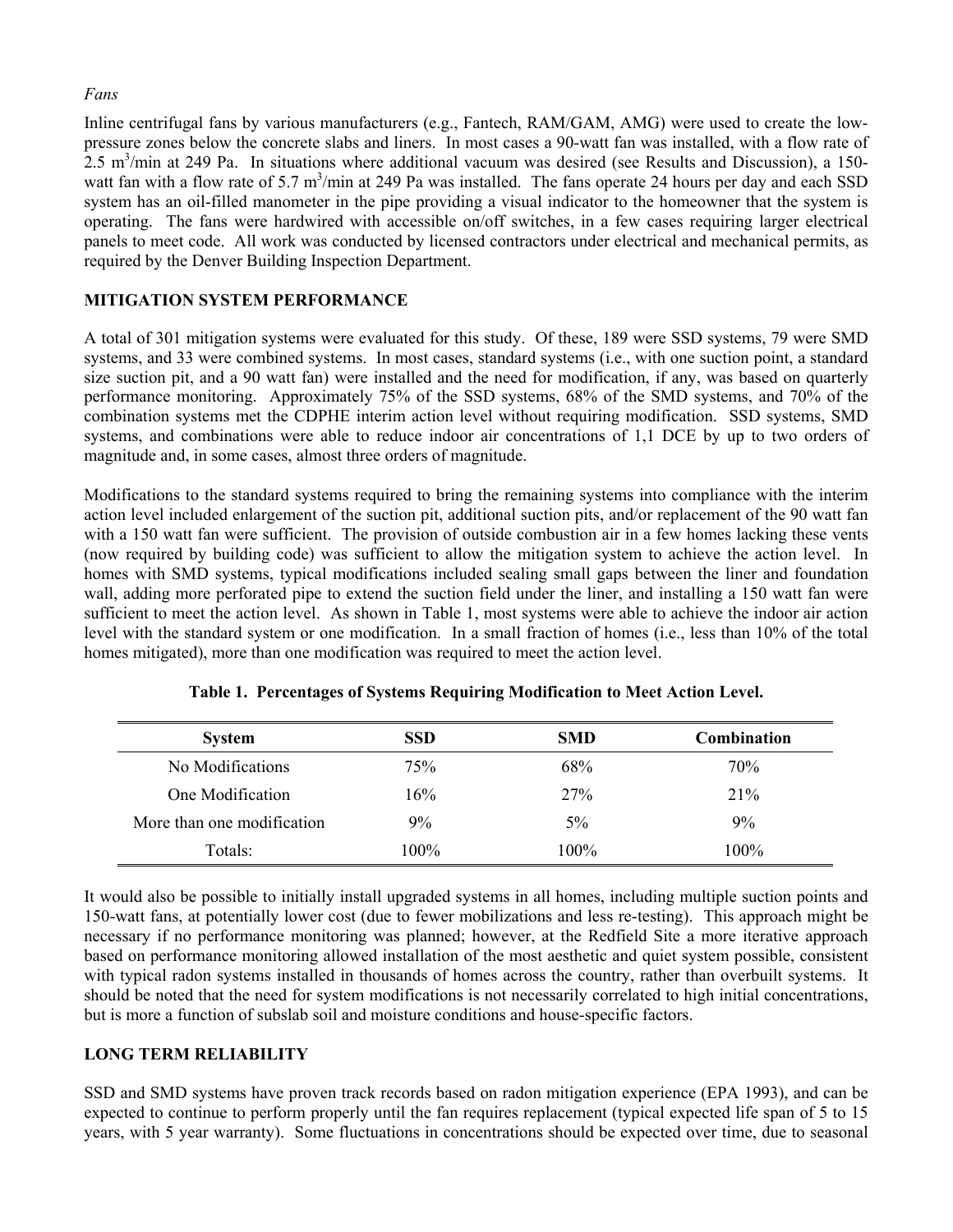### *Fans*

Inline centrifugal fans by various manufacturers (e.g., Fantech, RAM/GAM, AMG) were used to create the lowpressure zones below the concrete slabs and liners. In most cases a 90-watt fan was installed, with a flow rate of  $2.5$  m<sup>3</sup>/min at 249 Pa. In situations where additional vacuum was desired (see Results and Discussion), a 150watt fan with a flow rate of 5.7 m<sup>3</sup>/min at 249 Pa was installed. The fans operate 24 hours per day and each SSD system has an oil-filled manometer in the pipe providing a visual indicator to the homeowner that the system is operating. The fans were hardwired with accessible on/off switches, in a few cases requiring larger electrical panels to meet code. All work was conducted by licensed contractors under electrical and mechanical permits, as required by the Denver Building Inspection Department.

# **MITIGATION SYSTEM PERFORMANCE**

A total of 301 mitigation systems were evaluated for this study. Of these, 189 were SSD systems, 79 were SMD systems, and 33 were combined systems. In most cases, standard systems (i.e., with one suction point, a standard size suction pit, and a 90 watt fan) were installed and the need for modification, if any, was based on quarterly performance monitoring. Approximately 75% of the SSD systems, 68% of the SMD systems, and 70% of the combination systems met the CDPHE interim action level without requiring modification. SSD systems, SMD systems, and combinations were able to reduce indoor air concentrations of 1,1 DCE by up to two orders of magnitude and, in some cases, almost three orders of magnitude.

Modifications to the standard systems required to bring the remaining systems into compliance with the interim action level included enlargement of the suction pit, additional suction pits, and/or replacement of the 90 watt fan with a 150 watt fan were sufficient. The provision of outside combustion air in a few homes lacking these vents (now required by building code) was sufficient to allow the mitigation system to achieve the action level. In homes with SMD systems, typical modifications included sealing small gaps between the liner and foundation wall, adding more perforated pipe to extend the suction field under the liner, and installing a 150 watt fan were sufficient to meet the action level. As shown in Table 1, most systems were able to achieve the indoor air action level with the standard system or one modification. In a small fraction of homes (i.e., less than 10% of the total homes mitigated), more than one modification was required to meet the action level.

| <b>System</b>              | <b>SSD</b> | <b>SMD</b> | <b>Combination</b> |
|----------------------------|------------|------------|--------------------|
| No Modifications           | 75%        | 68%        | 70%                |
| One Modification           | 16%        | 27%        | 21%                |
| More than one modification | 9%         | 5%         | 9%                 |
| Totals:                    | 100%       | 100%       | $100\%$            |

**Table 1. Percentages of Systems Requiring Modification to Meet Action Level.**

It would also be possible to initially install upgraded systems in all homes, including multiple suction points and 150-watt fans, at potentially lower cost (due to fewer mobilizations and less re-testing). This approach might be necessary if no performance monitoring was planned; however, at the Redfield Site a more iterative approach based on performance monitoring allowed installation of the most aesthetic and quiet system possible, consistent with typical radon systems installed in thousands of homes across the country, rather than overbuilt systems. It should be noted that the need for system modifications is not necessarily correlated to high initial concentrations, but is more a function of subslab soil and moisture conditions and house-specific factors.

# **LONG TERM RELIABILITY**

SSD and SMD systems have proven track records based on radon mitigation experience (EPA 1993), and can be expected to continue to perform properly until the fan requires replacement (typical expected life span of 5 to 15 years, with 5 year warranty). Some fluctuations in concentrations should be expected over time, due to seasonal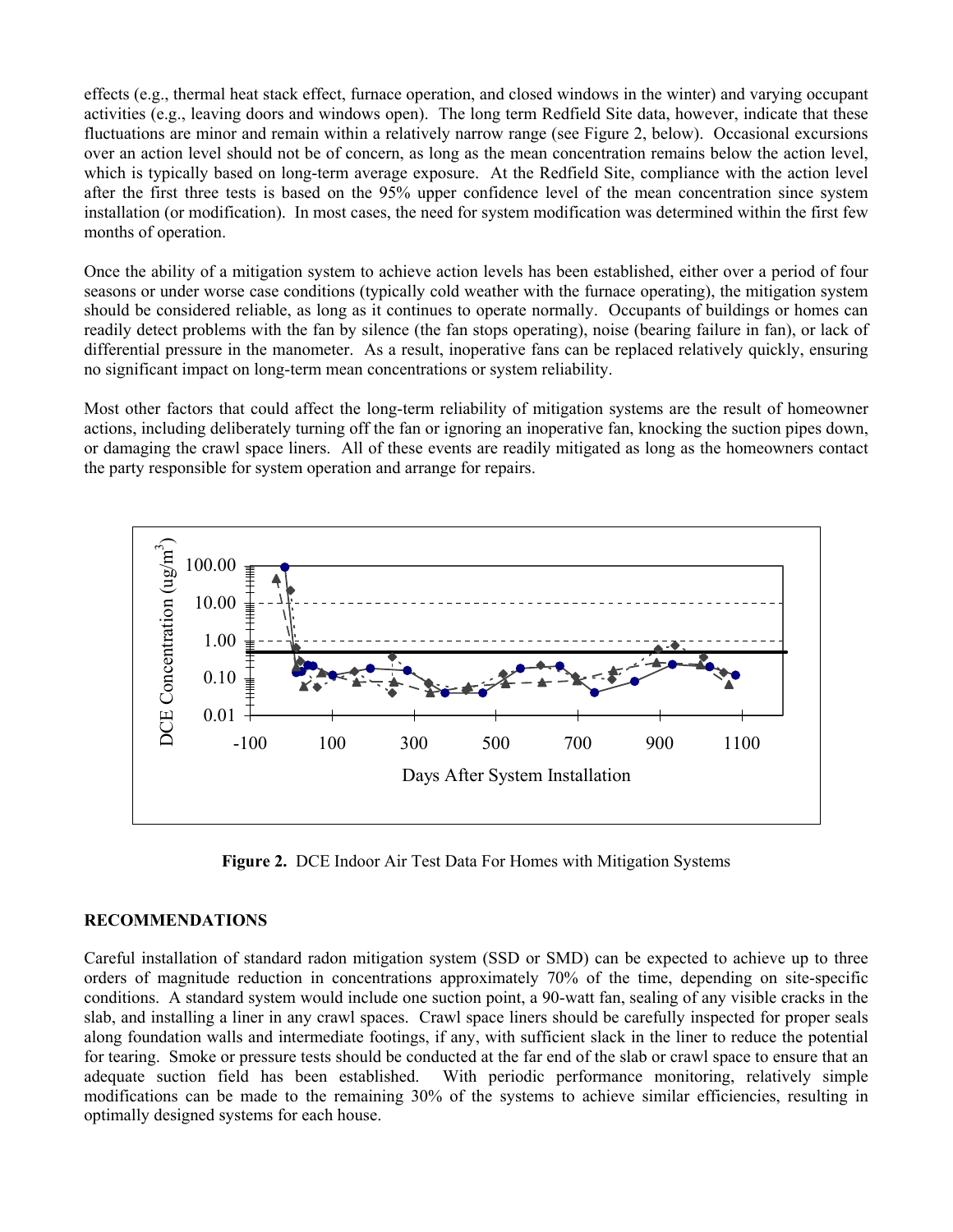effects (e.g., thermal heat stack effect, furnace operation, and closed windows in the winter) and varying occupant activities (e.g., leaving doors and windows open). The long term Redfield Site data, however, indicate that these fluctuations are minor and remain within a relatively narrow range (see Figure 2, below). Occasional excursions over an action level should not be of concern, as long as the mean concentration remains below the action level, which is typically based on long-term average exposure. At the Redfield Site, compliance with the action level after the first three tests is based on the 95% upper confidence level of the mean concentration since system installation (or modification). In most cases, the need for system modification was determined within the first few months of operation.

Once the ability of a mitigation system to achieve action levels has been established, either over a period of four seasons or under worse case conditions (typically cold weather with the furnace operating), the mitigation system should be considered reliable, as long as it continues to operate normally. Occupants of buildings or homes can readily detect problems with the fan by silence (the fan stops operating), noise (bearing failure in fan), or lack of differential pressure in the manometer. As a result, inoperative fans can be replaced relatively quickly, ensuring no significant impact on long-term mean concentrations or system reliability.

Most other factors that could affect the long-term reliability of mitigation systems are the result of homeowner actions, including deliberately turning off the fan or ignoring an inoperative fan, knocking the suction pipes down, or damaging the crawl space liners. All of these events are readily mitigated as long as the homeowners contact the party responsible for system operation and arrange for repairs.



**Figure 2.** DCE Indoor Air Test Data For Homes with Mitigation Systems

# **RECOMMENDATIONS**

Careful installation of standard radon mitigation system (SSD or SMD) can be expected to achieve up to three orders of magnitude reduction in concentrations approximately 70% of the time, depending on site-specific conditions. A standard system would include one suction point, a 90-watt fan, sealing of any visible cracks in the slab, and installing a liner in any crawl spaces. Crawl space liners should be carefully inspected for proper seals along foundation walls and intermediate footings, if any, with sufficient slack in the liner to reduce the potential for tearing. Smoke or pressure tests should be conducted at the far end of the slab or crawl space to ensure that an adequate suction field has been established. With periodic performance monitoring, relatively simple modifications can be made to the remaining 30% of the systems to achieve similar efficiencies, resulting in optimally designed systems for each house.